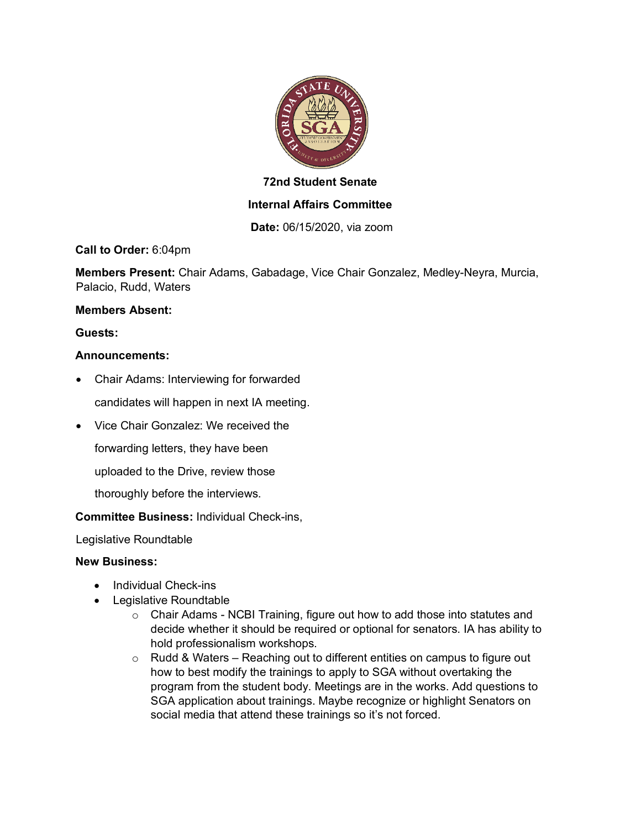

# **72nd Student Senate**

## **Internal Affairs Committee**

**Date:** 06/15/2020, via zoom

**Call to Order:** 6:04pm

**Members Present:** Chair Adams, Gabadage, Vice Chair Gonzalez, Medley-Neyra, Murcia, Palacio, Rudd, Waters

#### **Members Absent:**

**Guests:** 

## **Announcements:**

- Chair Adams: Interviewing for forwarded
	- candidates will happen in next IA meeting.
- Vice Chair Gonzalez: We received the
	- forwarding letters, they have been
	- uploaded to the Drive, review those
	- thoroughly before the interviews.

## **Committee Business:** Individual Check-ins,

Legislative Roundtable

## **New Business:**

- Individual Check-ins
- Legislative Roundtable
	- $\circ$  Chair Adams NCBI Training, figure out how to add those into statutes and decide whether it should be required or optional for senators. IA has ability to hold professionalism workshops.
	- $\circ$  Rudd & Waters Reaching out to different entities on campus to figure out how to best modify the trainings to apply to SGA without overtaking the program from the student body. Meetings are in the works. Add questions to SGA application about trainings. Maybe recognize or highlight Senators on social media that attend these trainings so it's not forced.